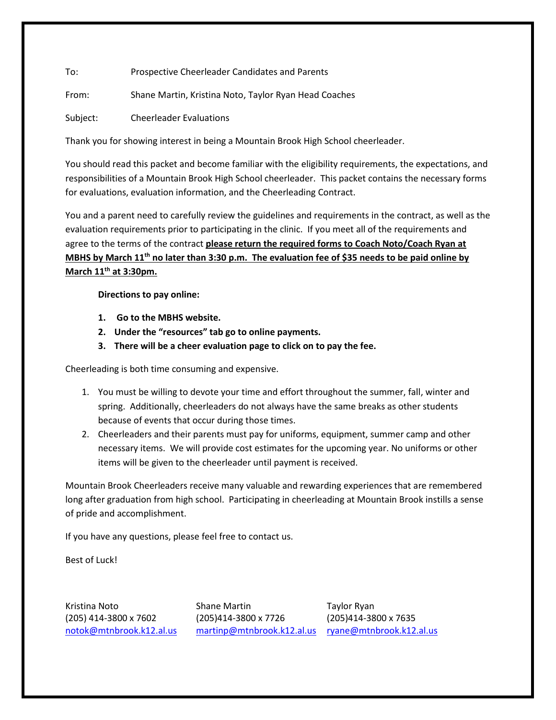To: Prospective Cheerleader Candidates and Parents

From: Shane Martin, Kristina Noto, Taylor Ryan Head Coaches

Subject: Cheerleader Evaluations

Thank you for showing interest in being a Mountain Brook High School cheerleader.

You should read this packet and become familiar with the eligibility requirements, the expectations, and responsibilities of a Mountain Brook High School cheerleader. This packet contains the necessary forms for evaluations, evaluation information, and the Cheerleading Contract.

You and a parent need to carefully review the guidelines and requirements in the contract, as well as the evaluation requirements prior to participating in the clinic. If you meet all of the requirements and agree to the terms of the contract **please return the required forms to Coach Noto/Coach Ryan at MBHS by March 11th no later than 3:30 p.m. The evaluation fee of \$35 needs to be paid online by March 11th at 3:30pm.** 

**Directions to pay online:**

- **1. Go to the MBHS website.**
- **2. Under the "resources" tab go to online payments.**
- **3. There will be a cheer evaluation page to click on to pay the fee.**

Cheerleading is both time consuming and expensive.

- 1. You must be willing to devote your time and effort throughout the summer, fall, winter and spring. Additionally, cheerleaders do not always have the same breaks as other students because of events that occur during those times.
- 2. Cheerleaders and their parents must pay for uniforms, equipment, summer camp and other necessary items. We will provide cost estimates for the upcoming year. No uniforms or other items will be given to the cheerleader until payment is received.

Mountain Brook Cheerleaders receive many valuable and rewarding experiences that are remembered long after graduation from high school. Participating in cheerleading at Mountain Brook instills a sense of pride and accomplishment.

If you have any questions, please feel free to contact us.

Best of Luck!

Kristina Noto **Shane Martin** Taylor Ryan (205) 414-3800 x 7602 (205)414-3800 x 7726 (205)414-3800 x 7635 [notok@mtnbrook.k12.al.us](mailto:notok@mtnbrook.k12.al.us) [martinp@mtnbrook.k12.al.us](mailto:martinp@mtnbrook.k12.al.us) [ryane@mtnbrook.k12.al.us](mailto:ryane@mtnbrook.k12.al.us)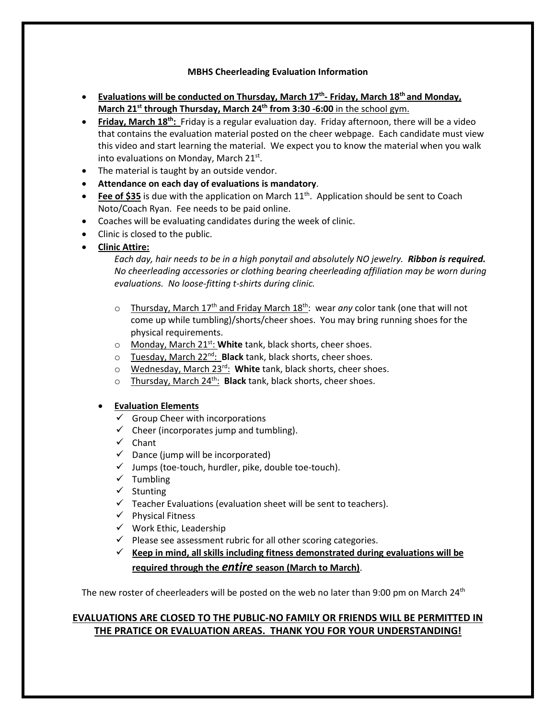#### **MBHS Cheerleading Evaluation Information**

- **Evaluations will be conducted on Thursday, March 17th - Friday, March 18 th and Monday, March 21st through Thursday, March 24th from 3:30 -6:00** in the school gym.
- **•** Friday, March 18<sup>th</sup>: Friday is a regular evaluation day. Friday afternoon, there will be a video that contains the evaluation material posted on the cheer webpage. Each candidate must view this video and start learning the material. We expect you to know the material when you walk into evaluations on Monday, March 21st.
- The material is taught by an outside vendor.
- **Attendance on each day of evaluations is mandatory**.
- Fee of \$35 is due with the application on March 11<sup>th</sup>. Application should be sent to Coach Noto/Coach Ryan. Fee needs to be paid online.
- Coaches will be evaluating candidates during the week of clinic.
- Clinic is closed to the public.
- **Clinic Attire:**

*Each day, hair needs to be in a high ponytail and absolutely NO jewelry. Ribbon is required. No cheerleading accessories or clothing bearing cheerleading affiliation may be worn during evaluations. No loose-fitting t-shirts during clinic.*

- o Thursday, March 17<sup>th</sup> and Friday March 18<sup>th</sup>: wear *any* color tank (one that will not come up while tumbling)/shorts/cheer shoes. You may bring running shoes for the physical requirements.
- o Monday, March 21st: **White** tank, black shorts, cheer shoes.
- o Tuesday, March 22nd: **Black** tank, black shorts, cheer shoes.
- o Wednesday, March 23rd: **White** tank, black shorts, cheer shoes.
- o Thursday, March 24th: **Black** tank, black shorts, cheer shoes.

#### • **Evaluation Elements**

- $\checkmark$  Group Cheer with incorporations
- $\checkmark$  Cheer (incorporates jump and tumbling).
- ✓ Chant
- $\checkmark$  Dance (jump will be incorporated)
- $\checkmark$  Jumps (toe-touch, hurdler, pike, double toe-touch).
- ✓ Tumbling
- ✓ Stunting
- $\checkmark$  Teacher Evaluations (evaluation sheet will be sent to teachers).
- ✓ Physical Fitness
- ✓ Work Ethic, Leadership
- $\checkmark$  Please see assessment rubric for all other scoring categories.
- ✓ **Keep in mind, all skills including fitness demonstrated during evaluations will be required through the** *entire* **season (March to March)**.

The new roster of cheerleaders will be posted on the web no later than 9:00 pm on March 24<sup>th</sup>

### **EVALUATIONS ARE CLOSED TO THE PUBLIC-NO FAMILY OR FRIENDS WILL BE PERMITTED IN THE PRATICE OR EVALUATION AREAS. THANK YOU FOR YOUR UNDERSTANDING!**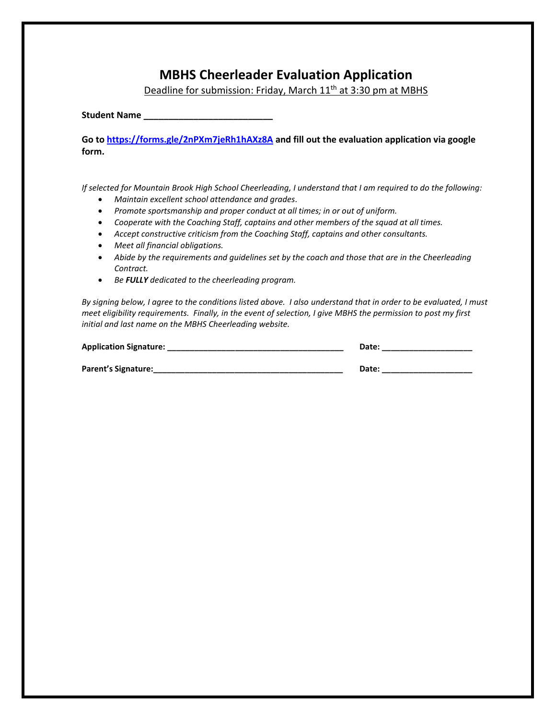## **MBHS Cheerleader Evaluation Application**

Deadline for submission: Friday, March 11<sup>th</sup> at 3:30 pm at MBHS

**Student Name \_\_\_\_\_\_\_\_\_\_\_\_\_\_\_\_\_\_\_\_\_\_\_\_\_\_**

**Go t[o https://forms.gle/2nPXm7jeRh1hAXz8A](https://forms.gle/2nPXm7jeRh1hAXz8A) and fill out the evaluation application via google form.**

*If selected for Mountain Brook High School Cheerleading, I understand that I am required to do the following:*

- *Maintain excellent school attendance and grades.*
- *Promote sportsmanship and proper conduct at all times; in or out of uniform.*
- *Cooperate with the Coaching Staff, captains and other members of the squad at all times.*
- *Accept constructive criticism from the Coaching Staff, captains and other consultants.*
- *Meet all financial obligations.*
- *Abide by the requirements and guidelines set by the coach and those that are in the Cheerleading Contract.*
- *Be FULLY dedicated to the cheerleading program.*

*By signing below, I agree to the conditions listed above. I also understand that in order to be evaluated, I must meet eligibility requirements. Finally, in the event of selection, I give MBHS the permission to post my first initial and last name on the MBHS Cheerleading website.*

| <b>Application Signature:</b> | Date: |
|-------------------------------|-------|
|                               |       |
| Parent's Signature:           | Date: |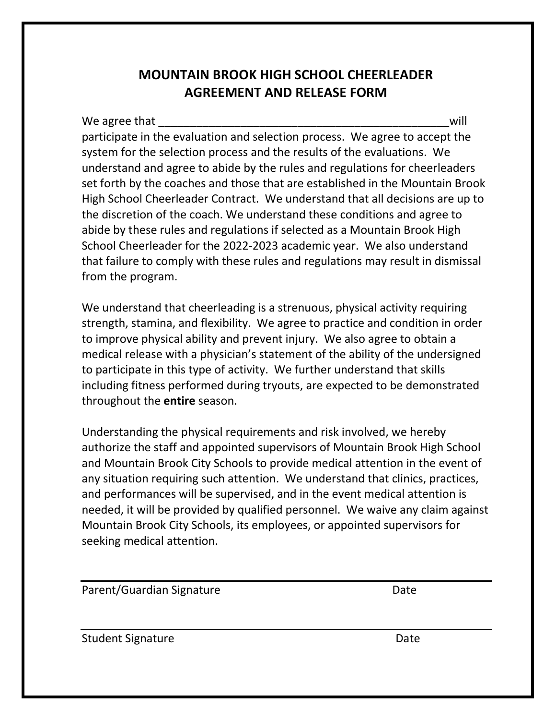# **MOUNTAIN BROOK HIGH SCHOOL CHEERLEADER AGREEMENT AND RELEASE FORM**

We agree that will not a set of the set of the set of the set of the set of the set of the set of the set of the set of the set of the set of the set of the set of the set of the set of the set of the set of the set of the participate in the evaluation and selection process. We agree to accept the system for the selection process and the results of the evaluations. We understand and agree to abide by the rules and regulations for cheerleaders set forth by the coaches and those that are established in the Mountain Brook High School Cheerleader Contract. We understand that all decisions are up to the discretion of the coach. We understand these conditions and agree to abide by these rules and regulations if selected as a Mountain Brook High School Cheerleader for the 2022-2023 academic year. We also understand that failure to comply with these rules and regulations may result in dismissal from the program.

We understand that cheerleading is a strenuous, physical activity requiring strength, stamina, and flexibility. We agree to practice and condition in order to improve physical ability and prevent injury. We also agree to obtain a medical release with a physician's statement of the ability of the undersigned to participate in this type of activity. We further understand that skills including fitness performed during tryouts, are expected to be demonstrated throughout the **entire** season.

Understanding the physical requirements and risk involved, we hereby authorize the staff and appointed supervisors of Mountain Brook High School and Mountain Brook City Schools to provide medical attention in the event of any situation requiring such attention. We understand that clinics, practices, and performances will be supervised, and in the event medical attention is needed, it will be provided by qualified personnel. We waive any claim against Mountain Brook City Schools, its employees, or appointed supervisors for seeking medical attention.

Parent/Guardian Signature Date

Student Signature Date Date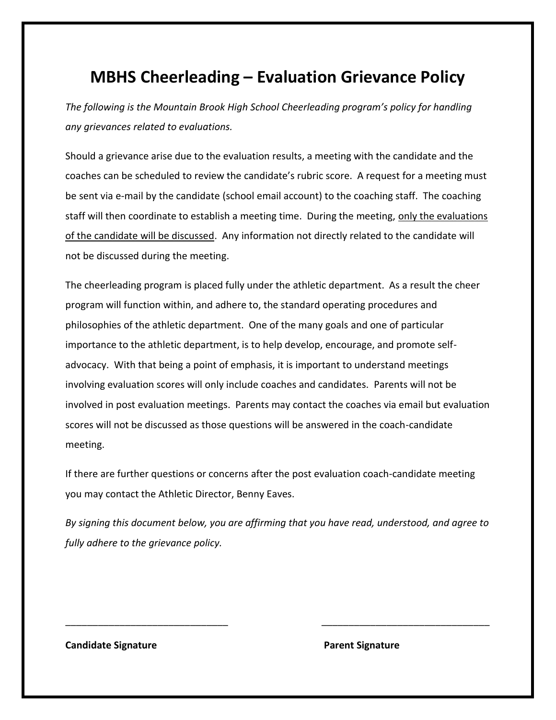# **MBHS Cheerleading – Evaluation Grievance Policy**

*The following is the Mountain Brook High School Cheerleading program's policy for handling any grievances related to evaluations.* 

Should a grievance arise due to the evaluation results, a meeting with the candidate and the coaches can be scheduled to review the candidate's rubric score. A request for a meeting must be sent via e-mail by the candidate (school email account) to the coaching staff. The coaching staff will then coordinate to establish a meeting time. During the meeting, only the evaluations of the candidate will be discussed. Any information not directly related to the candidate will not be discussed during the meeting.

The cheerleading program is placed fully under the athletic department. As a result the cheer program will function within, and adhere to, the standard operating procedures and philosophies of the athletic department. One of the many goals and one of particular importance to the athletic department, is to help develop, encourage, and promote selfadvocacy. With that being a point of emphasis, it is important to understand meetings involving evaluation scores will only include coaches and candidates. Parents will not be involved in post evaluation meetings. Parents may contact the coaches via email but evaluation scores will not be discussed as those questions will be answered in the coach-candidate meeting.

If there are further questions or concerns after the post evaluation coach-candidate meeting you may contact the Athletic Director, Benny Eaves.

*By signing this document below, you are affirming that you have read, understood, and agree to fully adhere to the grievance policy.*

\_\_\_\_\_\_\_\_\_\_\_\_\_\_\_\_\_\_\_\_\_\_\_\_\_\_\_\_\_\_ \_\_\_\_\_\_\_\_\_\_\_\_\_\_\_\_\_\_\_\_\_\_\_\_\_\_\_\_\_\_\_

**Candidate Signature Candidate Signature** Parent Signature